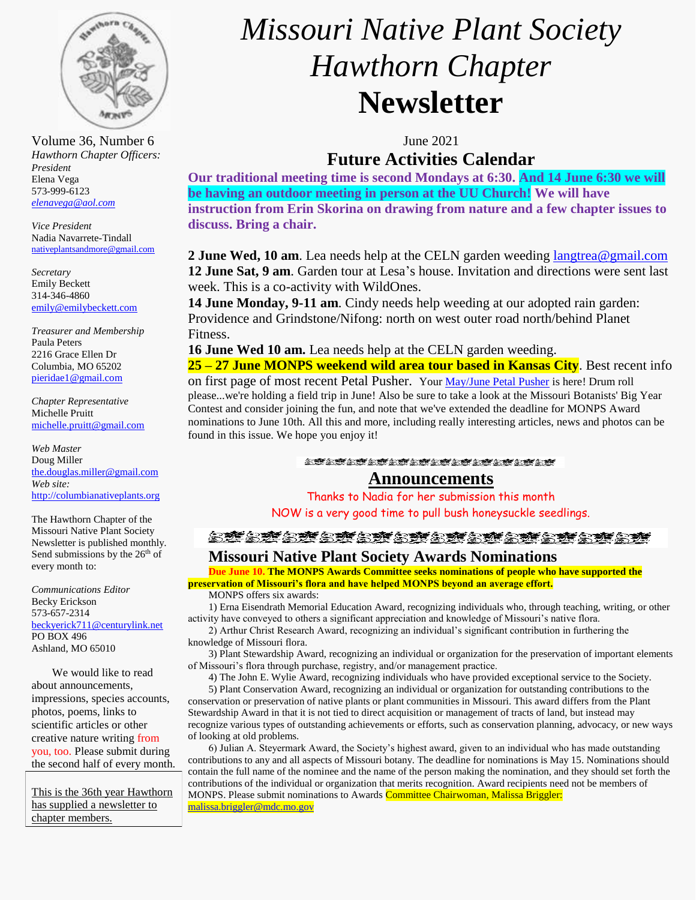

Volume 36, Number 6 June 2021 *Hawthorn Chapter Officers: President* Elena Vega 573-999-6123 *[elenavega@aol.com](mailto:elenavega@aol.com)*

*Vice President* Nadia Navarrete-Tindall [nativeplantsandmore@gmail.com](mailto:nativeplantsandmore@gmail.com)

*Secretary* Emily Beckett 314-346-4860 [emily@emilybeckett.com](mailto:emily@emilybeckett.com)

*Treasurer and Membership* Paula Peters 2216 Grace Ellen Dr Columbia, MO 65202 [pieridae1@gmail.com](mailto:pieridae1@gmail.com)

*Chapter Representative*  Michelle Pruitt [michelle.pruitt@gmail.com](mailto:michelle.pruitt@gmail.com)

*Web Master* Doug Miller [the.douglas.miller@gmail.com](mailto:the.douglas.miller@gmail.com) *Web site:* [http://columbianativeplants.org](http://columbianativeplants.org/)

The Hawthorn Chapter of the Missouri Native Plant Society Newsletter is published monthly. Send submissions by the 26<sup>th</sup> of every month to:

*Communications Editor* Becky Erickson 573-657-2314 [beckyerick711@centurylink.net](mailto:beckyerick711@centurylink.net) PO BOX 496 Ashland, MO 65010

We would like to read about announcements, impressions, species accounts, photos, poems, links to scientific articles or other creative nature writing from you, too. Please submit during the second half of every month.

This is the 36th year Hawthorn has supplied a newsletter to chapter members.

# *Missouri Native Plant Society Hawthorn Chapter* **Newsletter**

# **Future Activities Calendar**

**Our traditional meeting time is second Mondays at 6:30. And 14 June 6:30 we will be having an outdoor meeting in person at the UU Church! We will have instruction from Erin Skorina on drawing from nature and a few chapter issues to discuss. Bring a chair.**

**2 June Wed, 10 am**. Lea needs help at the CELN garden weeding [langtrea@gmail.com](mailto:langtrea@gmail.com) **12 June Sat, 9 am**. Garden tour at Lesa's house. Invitation and directions were sent last week. This is a co-activity with WildOnes.

**14 June Monday, 9-11 am**. Cindy needs help weeding at our adopted rain garden: Providence and Grindstone/Nifong: north on west outer road north/behind Planet Fitness.

**16 June Wed 10 am.** Lea needs help at the CELN garden weeding.

**25 – 27 June MONPS weekend wild area tour based in Kansas City**. Best recent info

on first page of most recent Petal Pusher. Your [May/June Petal Pusher](https://monativeplants.org/wp-content/uploads/petal-pusher/PP-36-3-2021-05.pdf) is here! Drum roll please...we're holding a field trip in June! Also be sure to take a look at the Missouri Botanists' Big Year Contest and consider joining the fun, and note that we've extended the deadline for MONPS Award nominations to June 10th. All this and more, including really interesting articles, news and photos can be found in this issue. We hope you enjoy it!

**STATATATATATATATATATAT** 

# **Announcements**

Thanks to Nadia for her submission this month NOW is a very good time to pull bush honeysuckle seedlings.

金蜂会蜂会蜂会蜂会蜂会蜂会蜂会蜂会蜂会蜂会蜂

#### **Missouri Native Plant Society Awards Nominations**

**Due June 10. The MONPS Awards Committee seeks nominations of people who have supported the preservation of Missouri's flora and have helped MONPS beyond an average effort.** MONPS offers six awards:

1) Erna Eisendrath Memorial Education Award, recognizing individuals who, through teaching, writing, or other activity have conveyed to others a significant appreciation and knowledge of Missouri's native flora.

2) Arthur Christ Research Award, recognizing an individual's significant contribution in furthering the knowledge of Missouri flora.

3) Plant Stewardship Award, recognizing an individual or organization for the preservation of important elements of Missouri's flora through purchase, registry, and/or management practice.

4) The John E. Wylie Award, recognizing individuals who have provided exceptional service to the Society. 5) Plant Conservation Award, recognizing an individual or organization for outstanding contributions to the conservation or preservation of native plants or plant communities in Missouri. This award differs from the Plant Stewardship Award in that it is not tied to direct acquisition or management of tracts of land, but instead may recognize various types of outstanding achievements or efforts, such as conservation planning, advocacy, or new ways of looking at old problems.

6) Julian A. Steyermark Award, the Society's highest award, given to an individual who has made outstanding contributions to any and all aspects of Missouri botany. The deadline for nominations is May 15. Nominations should contain the full name of the nominee and the name of the person making the nomination, and they should set forth the contributions of the individual or organization that merits recognition. Award recipients need not be members of MONPS. Please submit nominations to Awards Committee Chairwoman, Malissa Briggler: [malissa.briggler@mdc.mo.gov](mailto:malissa.briggler@mdc.mo.gov)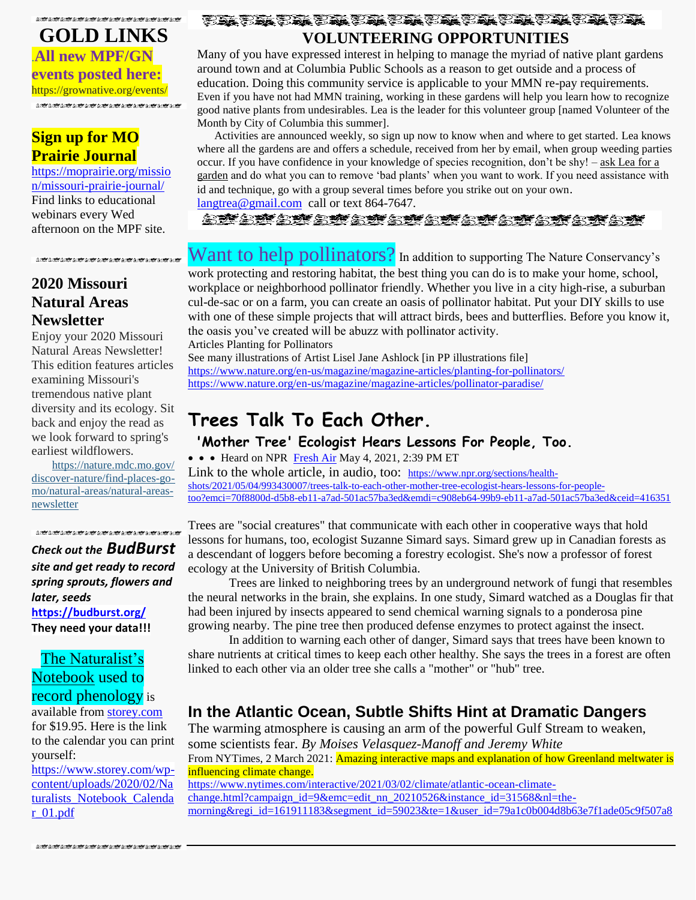**的变体或变化或变化变化变化变化变化变化变化变化** 

**GOLD LINKS** .**All new MPF/GN events posted here:** https://grownative.org/events/ 

# **Sign up for MO Prairie Journal**

[https://moprairie.org/missio](https://moprairie.org/mission/missouri-prairie-journal/) [n/missouri-prairie-journal/](https://moprairie.org/mission/missouri-prairie-journal/) Find links to educational webinars every Wed afternoon on the MPF site.

## **2020 Missouri Natural Areas Newsletter**

Enjoy your 2020 Missouri Natural Areas Newsletter! This edition features articles examining Missouri's tremendous native plant diversity and its ecology. Sit back and enjoy the read as we look forward to spring's earliest wildflowers.

[https://nature.mdc.mo.gov/](https://lnks.gd/l/eyJhbGciOiJIUzI1NiJ9.eyJidWxsZXRpbl9saW5rX2lkIjoxMDAsInVyaSI6ImJwMjpjbGljayIsImJ1bGxldGluX2lkIjoiMjAyMDEyMjkuMzI2MDk5MDEiLCJ1cmwiOiJodHRwczovL25hdHVyZS5tZGMubW8uZ292L2Rpc2NvdmVyLW5hdHVyZS9maW5kLXBsYWNlcy1nby1tby9uYXR1cmFsLWFyZWFzL25hdHVyYWwtYXJlYXMtbmV3c2xldHRlciJ9.lELBHzhIMnL_iOxaYhDz3ouDII19xBT79CafGarUwRA/s/248514939/br/92473738117-l) [discover-nature/find-places-go](https://lnks.gd/l/eyJhbGciOiJIUzI1NiJ9.eyJidWxsZXRpbl9saW5rX2lkIjoxMDAsInVyaSI6ImJwMjpjbGljayIsImJ1bGxldGluX2lkIjoiMjAyMDEyMjkuMzI2MDk5MDEiLCJ1cmwiOiJodHRwczovL25hdHVyZS5tZGMubW8uZ292L2Rpc2NvdmVyLW5hdHVyZS9maW5kLXBsYWNlcy1nby1tby9uYXR1cmFsLWFyZWFzL25hdHVyYWwtYXJlYXMtbmV3c2xldHRlciJ9.lELBHzhIMnL_iOxaYhDz3ouDII19xBT79CafGarUwRA/s/248514939/br/92473738117-l)[mo/natural-areas/natural-areas](https://lnks.gd/l/eyJhbGciOiJIUzI1NiJ9.eyJidWxsZXRpbl9saW5rX2lkIjoxMDAsInVyaSI6ImJwMjpjbGljayIsImJ1bGxldGluX2lkIjoiMjAyMDEyMjkuMzI2MDk5MDEiLCJ1cmwiOiJodHRwczovL25hdHVyZS5tZGMubW8uZ292L2Rpc2NvdmVyLW5hdHVyZS9maW5kLXBsYWNlcy1nby1tby9uYXR1cmFsLWFyZWFzL25hdHVyYWwtYXJlYXMtbmV3c2xldHRlciJ9.lELBHzhIMnL_iOxaYhDz3ouDII19xBT79CafGarUwRA/s/248514939/br/92473738117-l)[newsletter](https://lnks.gd/l/eyJhbGciOiJIUzI1NiJ9.eyJidWxsZXRpbl9saW5rX2lkIjoxMDAsInVyaSI6ImJwMjpjbGljayIsImJ1bGxldGluX2lkIjoiMjAyMDEyMjkuMzI2MDk5MDEiLCJ1cmwiOiJodHRwczovL25hdHVyZS5tZGMubW8uZ292L2Rpc2NvdmVyLW5hdHVyZS9maW5kLXBsYWNlcy1nby1tby9uYXR1cmFsLWFyZWFzL25hdHVyYWwtYXJlYXMtbmV3c2xldHRlciJ9.lELBHzhIMnL_iOxaYhDz3ouDII19xBT79CafGarUwRA/s/248514939/br/92473738117-l)

*Check out the BudBurst site and get ready to record spring sprouts, flowers and later, seeds* **<https://budburst.org/> They need your data!!!**

# The Naturalist's Notebook used to record phenology is

available from [storey.com](http://storey.com/) for \$19.95. Here is the link to the calendar you can print yourself:

[https://www.storey.com/wp](https://www.storey.com/wp-content/uploads/2020/02/Naturalists_Notebook_Calendar_01.pdf)[content/uploads/2020/02/Na](https://www.storey.com/wp-content/uploads/2020/02/Naturalists_Notebook_Calendar_01.pdf) turalists Notebook Calenda [r\\_01.pdf](https://www.storey.com/wp-content/uploads/2020/02/Naturalists_Notebook_Calendar_01.pdf)

**VOLUNTEERING OPPORTUNITIES**

Many of you have expressed interest in helping to manage the myriad of native plant gardens around town and at Columbia Public Schools as a reason to get outside and a process of education. Doing this community service is applicable to your MMN re-pay requirements. Even if you have not had MMN training, working in these gardens will help you learn how to recognize good native plants from undesirables. Lea is the leader for this volunteer group [named Volunteer of the Month by City of Columbia this summer].

 Activities are announced weekly, so sign up now to know when and where to get started. Lea knows where all the gardens are and offers a schedule, received from her by email, when group weeding parties occur. If you have confidence in your knowledge of species recognition, don't be shy! – ask Lea for a garden and do what you can to remove 'bad plants' when you want to work. If you need assistance with id and technique, go with a group several times before you strike out on your own.

[langtrea@gmail.com](mailto:langtrea@gmail.com) call or text 864-7647.

STAST STRIKST STRIKST STRIKST

# Want to help pollinators? In addition to supporting The Nature Conservancy's

work protecting and restoring habitat, the best thing you can do is to make your home, school, workplace or neighborhood pollinator friendly. Whether you live in a city high-rise, a suburban cul-de-sac or on a farm, you can create an oasis of pollinator habitat. Put your DIY skills to use with one of these simple projects that will attract birds, bees and butterflies. Before you know it, the oasis you've created will be abuzz with pollinator activity. Articles Planting for Pollinators

See many illustrations of Artist Lisel Jane Ashlock [in PP illustrations file] <https://www.nature.org/en-us/magazine/magazine-articles/planting-for-pollinators/> <https://www.nature.org/en-us/magazine/magazine-articles/pollinator-paradise/>

# **Trees Talk To Each Other.**

**'Mother Tree' Ecologist Hears Lessons For People, Too.**

• • Heard on NPR [Fresh Air](https://www.npr.org/programs/fresh-air/2021/05/04/993507176/fresh-air-for-may-4-2021-mother-tree-ecologist-suzanne-simard) May 4, 2021, 2:39 PM ET Link to the whole article, in audio, too: [https://www.npr.org/sections/health](https://www.npr.org/sections/health-shots/2021/05/04/993430007/trees-talk-to-each-other-mother-tree-ecologist-hears-lessons-for-people-too?emci=70f8800d-d5b8-eb11-a7ad-501ac57ba3ed&emdi=c908eb64-99b9-eb11-a7ad-501ac57ba3ed&ceid=416351)[shots/2021/05/04/993430007/trees-talk-to-each-other-mother-tree-ecologist-hears-lessons-for-people](https://www.npr.org/sections/health-shots/2021/05/04/993430007/trees-talk-to-each-other-mother-tree-ecologist-hears-lessons-for-people-too?emci=70f8800d-d5b8-eb11-a7ad-501ac57ba3ed&emdi=c908eb64-99b9-eb11-a7ad-501ac57ba3ed&ceid=416351)[too?emci=70f8800d-d5b8-eb11-a7ad-501ac57ba3ed&emdi=c908eb64-99b9-eb11-a7ad-501ac57ba3ed&ceid=416351](https://www.npr.org/sections/health-shots/2021/05/04/993430007/trees-talk-to-each-other-mother-tree-ecologist-hears-lessons-for-people-too?emci=70f8800d-d5b8-eb11-a7ad-501ac57ba3ed&emdi=c908eb64-99b9-eb11-a7ad-501ac57ba3ed&ceid=416351)

Trees are "social creatures" that communicate with each other in cooperative ways that hold lessons for humans, too, ecologist Suzanne Simard says. Simard grew up in Canadian forests as a descendant of loggers before becoming a forestry ecologist. She's now a professor of forest ecology at the University of British Columbia.

Trees are linked to neighboring trees by an underground network of fungi that resembles the neural networks in the brain, she explains. In one study, Simard watched as a Douglas fir that had been injured by insects appeared to send chemical warning signals to a ponderosa pine growing nearby. The pine tree then produced defense enzymes to protect against the insect.

In addition to warning each other of danger, Simard says that trees have been known to share nutrients at critical times to keep each other healthy. She says the trees in a forest are often linked to each other via an older tree she calls a "mother" or "hub" tree.

# **In the Atlantic Ocean, Subtle Shifts Hint at Dramatic Dangers**

The warming atmosphere is causing an arm of the powerful Gulf Stream to weaken, some scientists fear. *By Moises Velasquez-Manoff and Jeremy White* From NYTimes, 2 March 2021: **Amazing interactive maps and explanation of how Greenland meltwater is** influencing climate change. [https://www.nytimes.com/interactive/2021/03/02/climate/atlantic-ocean-climate](https://www.nytimes.com/interactive/2021/03/02/climate/atlantic-ocean-climate-change.html?campaign_id=9&emc=edit_nn_20210526&instance_id=31568&nl=the-morning®i_id=161911183&segment_id=59023&te=1&user_id=79a1c0b004d8b63e7f1ade05c9f507a8)[change.html?campaign\\_id=9&emc=edit\\_nn\\_20210526&instance\\_id=31568&nl=the](https://www.nytimes.com/interactive/2021/03/02/climate/atlantic-ocean-climate-change.html?campaign_id=9&emc=edit_nn_20210526&instance_id=31568&nl=the-morning®i_id=161911183&segment_id=59023&te=1&user_id=79a1c0b004d8b63e7f1ade05c9f507a8)[morning&regi\\_id=161911183&segment\\_id=59023&te=1&user\\_id=79a1c0b004d8b63e7f1ade05c9f507a8](https://www.nytimes.com/interactive/2021/03/02/climate/atlantic-ocean-climate-change.html?campaign_id=9&emc=edit_nn_20210526&instance_id=31568&nl=the-morning®i_id=161911183&segment_id=59023&te=1&user_id=79a1c0b004d8b63e7f1ade05c9f507a8)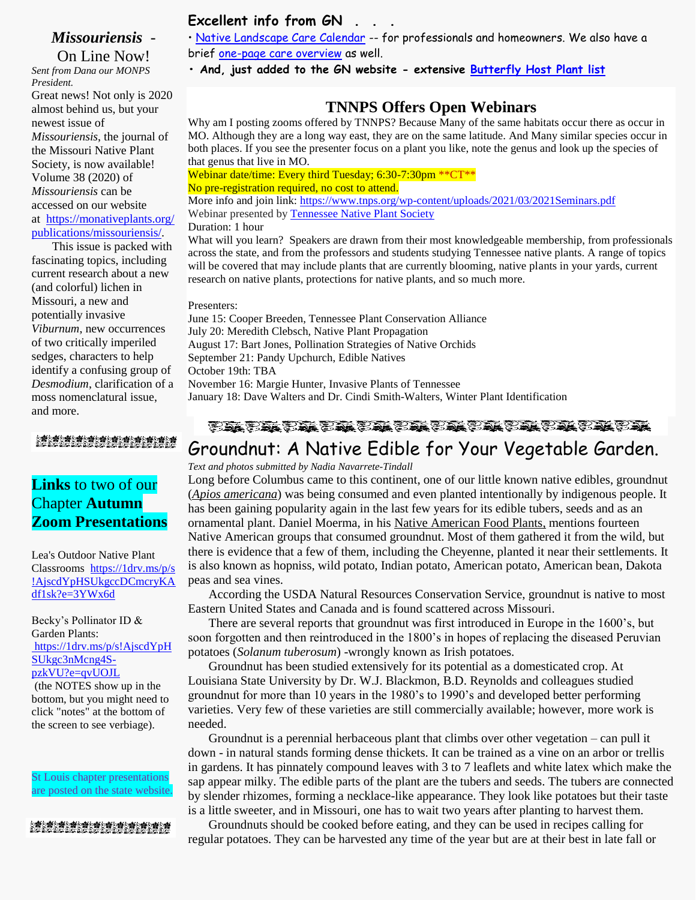## *Missouriensis* -

On Line Now! *Sent from Dana our MONPS President.* Great news! Not only is 2020 almost behind us, but your newest issue of *Missouriensis*, the journal of the Missouri Native Plant Society, is now available! Volume 38 (2020) of *Missouriensis* can be accessed on our website at [https://monativeplants.org/](https://monativeplants.org/publications/missouriensis/) [publications/missouriensis/.](https://monativeplants.org/publications/missouriensis/)

This issue is packed with fascinating topics, including current research about a new (and colorful) lichen in Missouri, a new and potentially invasive *Viburnum*, new occurrences of two critically imperiled sedges, characters to help identify a confusing group of *Desmodium*, clarification of a moss nomenclatural issue, and more.

# **Links** to two of our Chapter **Autumn Zoom Presentations**

Lea's Outdoor Native Plant Classrooms [https://1drv.ms/p/s](https://1drv.ms/p/s!AjscdYpHSUkgccDCmcryKAdf1sk?e=3YWx6d) [!AjscdYpHSUkgccDCmcryKA](https://1drv.ms/p/s!AjscdYpHSUkgccDCmcryKAdf1sk?e=3YWx6d) [df1sk?e=3YWx6d](https://1drv.ms/p/s!AjscdYpHSUkgccDCmcryKAdf1sk?e=3YWx6d)

Becky's Pollinator ID & Garden Plants: [https://1drv.ms/p/s!AjscdYpH](https://1drv.ms/p/s!AjscdYpHSUkgc3nMcng4S-pzkVU?e=qvUOJL) [SUkgc3nMcng4S](https://1drv.ms/p/s!AjscdYpHSUkgc3nMcng4S-pzkVU?e=qvUOJL)[pzkVU?e=qvUOJL](https://1drv.ms/p/s!AjscdYpHSUkgc3nMcng4S-pzkVU?e=qvUOJL)

(the NOTES show up in the bottom, but you might need to click "notes" at the bottom of the screen to see verbiage).

St Louis chapter presentations are posted on the state website.

#### 

#### **Excellent info from GN . . .**

• [Native Landscape Care Calendar](https://grownative.org/learn/native-landscape-care-calendar/) -- for professionals and homeowners. We also have a brief [one-page care overview](https://drive.google.com/file/d/1qTzmImXxIQcmsawwZ_iyCM08y2lE-Nl9/view) as well.

**• And, just added to the GN website - extensive [Butterfly Host Plant list](https://drive.google.com/file/d/18rIfDgS22Dbx_kYybW16-ypqIiAUbxd-/view)**

#### **TNNPS Offers Open Webinars**

Why am I posting zooms offered by TNNPS? Because Many of the same habitats occur there as occur in MO. Although they are a long way east, they are on the same latitude. And Many similar species occur in both places. If you see the presenter focus on a plant you like, note the genus and look up the species of that genus that live in MO.

Webinar date/time: Every third Tuesday; 6:30-7:30pm \*\* CT\*\*

No pre-registration required, no cost to attend.

More info and join link:<https://www.tnps.org/wp-content/uploads/2021/03/2021Seminars.pdf> Webinar presented b[y Tennessee Native Plant Society](https://www.tnps.org/)

#### Duration: 1 hour

What will you learn? Speakers are drawn from their most knowledgeable membership, from professionals across the state, and from the professors and students studying Tennessee native plants. A range of topics will be covered that may include plants that are currently blooming, native plants in your yards, current research on native plants, protections for native plants, and so much more.

Presenters:

June 15: Cooper Breeden, Tennessee Plant Conservation Alliance July 20: Meredith Clebsch, Native Plant Propagation August 17: Bart Jones, Pollination Strategies of Native Orchids September 21: Pandy Upchurch, Edible Natives October 19th: TBA November 16: Margie Hunter, Invasive Plants of Tennessee January 18: Dave Walters and Dr. Cindi Smith-Walters, Winter Plant Identification

#### **のあり様の様の様の様の様に様の様の様の様の様の様の様**

# Groundnut: A Native Edible for Your Vegetable Garden.

*Text and photos submitted by Nadia Navarrete-Tindall* 

Long before Columbus came to this continent, one of our little known native edibles, groundnut (*Apios americana*) was being consumed and even planted intentionally by indigenous people. It has been gaining popularity again in the last few years for its edible tubers, seeds and as an ornamental plant. Daniel Moerma, in his Native American Food Plants, mentions fourteen Native American groups that consumed groundnut. Most of them gathered it from the wild, but there is evidence that a few of them, including the Cheyenne, planted it near their settlements. It is also known as hopniss, wild potato, Indian potato, American potato, American bean, Dakota peas and sea vines.

According the USDA Natural Resources Conservation Service, groundnut is native to most Eastern United States and Canada and is found scattered across Missouri.

There are several reports that groundnut was first introduced in Europe in the 1600's, but soon forgotten and then reintroduced in the 1800's in hopes of replacing the diseased Peruvian potatoes (*Solanum tuberosum*) -wrongly known as Irish potatoes.

Groundnut has been studied extensively for its potential as a domesticated crop. At Louisiana State University by Dr. W.J. Blackmon, B.D. Reynolds and colleagues studied groundnut for more than 10 years in the 1980's to 1990's and developed better performing varieties. Very few of these varieties are still commercially available; however, more work is needed.

Groundnut is a perennial herbaceous plant that climbs over other vegetation – can pull it down - in natural stands forming dense thickets. It can be trained as a vine on an arbor or trellis in gardens. It has pinnately compound leaves with 3 to 7 leaflets and white latex which make the sap appear milky. The edible parts of the plant are the tubers and seeds. The tubers are connected by slender rhizomes, forming a necklace-like appearance. They look like potatoes but their taste is a little sweeter, and in Missouri, one has to wait two years after planting to harvest them.

Groundnuts should be cooked before eating, and they can be used in recipes calling for regular potatoes. They can be harvested any time of the year but are at their best in late fall or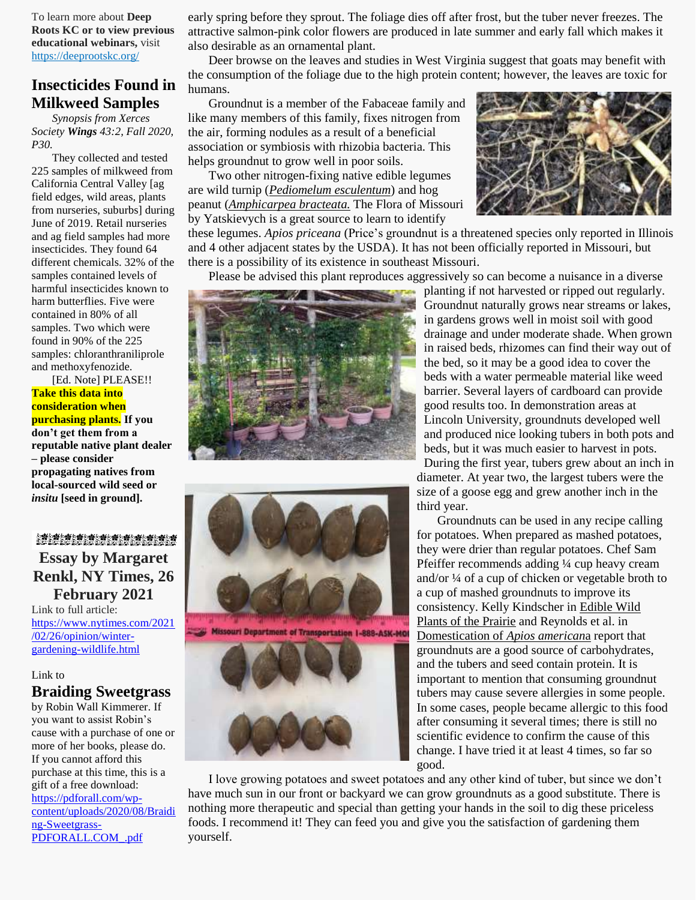To learn more about **Deep Roots KC or to view previous educational webinars,** visit [https://deeprootskc.org/](https://lnks.gd/l/eyJhbGciOiJIUzI1NiJ9.eyJidWxsZXRpbl9saW5rX2lkIjoxMDEsInVyaSI6ImJwMjpjbGljayIsImJ1bGxldGluX2lkIjoiMjAyMDA3MjcuMjQ5MDc0NjEiLCJ1cmwiOiJodHRwczovL2RlZXByb290c2tjLm9yZy8ifQ.4lSE_HuwGbHZ6R6__IJb9tFbuN1Ub9BaPSbnN0IE4ng/s/248514939/br/81516578152-l)

#### **Insecticides Found in Milkweed Samples**

*Synopsis from Xerces Society Wings 43:2, Fall 2020, P30.*

They collected and tested 225 samples of milkweed from California Central Valley [ag field edges, wild areas, plants from nurseries, suburbs] during June of 2019. Retail nurseries and ag field samples had more insecticides. They found 64 different chemicals. 32% of the samples contained levels of harmful insecticides known to harm butterflies. Five were contained in 80% of all samples. Two which were found in 90% of the 225 samples: chloranthraniliprole and methoxyfenozide.

[Ed. Note] PLEASE!! **Take this data into consideration when purchasing plants. If you don't get them from a reputable native plant dealer – please consider propagating natives from local-sourced wild seed or** *insitu* **[seed in ground].**

#### ゟ**螫ゟ<del>螫</del>ゟ蜂ゟ蜂ゟ蜂ゟ蜂ゟ蜂ゟ蜂ゟ蜂ゟ蜂ゟ蜂ゟ**<br>の陰の陰の陰の空の陰の陰の陰の陰の陰の陰の痛め痛

# **Essay by Margaret Renkl, NY Times, 26 February 2021**

Link to full article: [https://www.nytimes.com/2021](https://www.nytimes.com/2021/02/26/opinion/winter-gardening-wildlife.html) [/02/26/opinion/winter](https://www.nytimes.com/2021/02/26/opinion/winter-gardening-wildlife.html)[gardening-wildlife.html](https://www.nytimes.com/2021/02/26/opinion/winter-gardening-wildlife.html)

#### Link to

#### **Braiding Sweetgrass**

by Robin Wall Kimmerer. If you want to assist Robin's cause with a purchase of one or more of her books, please do. If you cannot afford this purchase at this time, this is a gift of a free download: [https://pdforall.com/wp](https://pdforall.com/wp-content/uploads/2020/08/Braiding-Sweetgrass-PDFORALL.COM_.pdf)[content/uploads/2020/08/Braidi](https://pdforall.com/wp-content/uploads/2020/08/Braiding-Sweetgrass-PDFORALL.COM_.pdf) [ng-Sweetgrass-](https://pdforall.com/wp-content/uploads/2020/08/Braiding-Sweetgrass-PDFORALL.COM_.pdf)[PDFORALL.COM\\_.pdf](https://pdforall.com/wp-content/uploads/2020/08/Braiding-Sweetgrass-PDFORALL.COM_.pdf)

early spring before they sprout. The foliage dies off after frost, but the tuber never freezes. The attractive salmon-pink color flowers are produced in late summer and early fall which makes it also desirable as an ornamental plant.

Deer browse on the leaves and studies in West Virginia suggest that goats may benefit with the consumption of the foliage due to the high protein content; however, the leaves are toxic for humans.

Groundnut is a member of the Fabaceae family and like many members of this family, fixes nitrogen from the air, forming nodules as a result of a beneficial association or symbiosis with rhizobia bacteria. This helps groundnut to grow well in poor soils.

Two other nitrogen-fixing native edible legumes are wild turnip (*Pediomelum esculentum*) and hog peanut (*Amphicarpea bracteata.* The Flora of Missouri by Yatskievych is a great source to learn to identify

these legumes. *Apios priceana* (Price's groundnut is a threatened species only reported in Illinois and 4 other adjacent states by the USDA). It has not been officially reported in Missouri, but there is a possibility of its existence in southeast Missouri.

Please be advised this plant reproduces aggressively so can become a nuisance in a diverse





planting if not harvested or ripped out regularly. Groundnut naturally grows near streams or lakes, in gardens grows well in moist soil with good drainage and under moderate shade. When grown in raised beds, rhizomes can find their way out of the bed, so it may be a good idea to cover the beds with a water permeable material like weed barrier. Several layers of cardboard can provide good results too. In demonstration areas at Lincoln University, groundnuts developed well and produced nice looking tubers in both pots and beds, but it was much easier to harvest in pots. During the first year, tubers grew about an inch in diameter. At year two, the largest tubers were the size of a goose egg and grew another inch in the third year.

Groundnuts can be used in any recipe calling for potatoes. When prepared as mashed potatoes, they were drier than regular potatoes. Chef Sam Pfeiffer recommends adding 1/4 cup heavy cream and/or ¼ of a cup of chicken or vegetable broth to a cup of mashed groundnuts to improve its consistency. Kelly Kindscher in Edible Wild Plants of the Prairie and Reynolds et al. in Domestication of *Apios american*a report that groundnuts are a good source of carbohydrates, and the tubers and seed contain protein. It is important to mention that consuming groundnut tubers may cause severe allergies in some people. In some cases, people became allergic to this food after consuming it several times; there is still no scientific evidence to confirm the cause of this change. I have tried it at least 4 times, so far so good.

I love growing potatoes and sweet potatoes and any other kind of tuber, but since we don't have much sun in our front or backyard we can grow groundnuts as a good substitute. There is nothing more therapeutic and special than getting your hands in the soil to dig these priceless foods. I recommend it! They can feed you and give you the satisfaction of gardening them yourself.

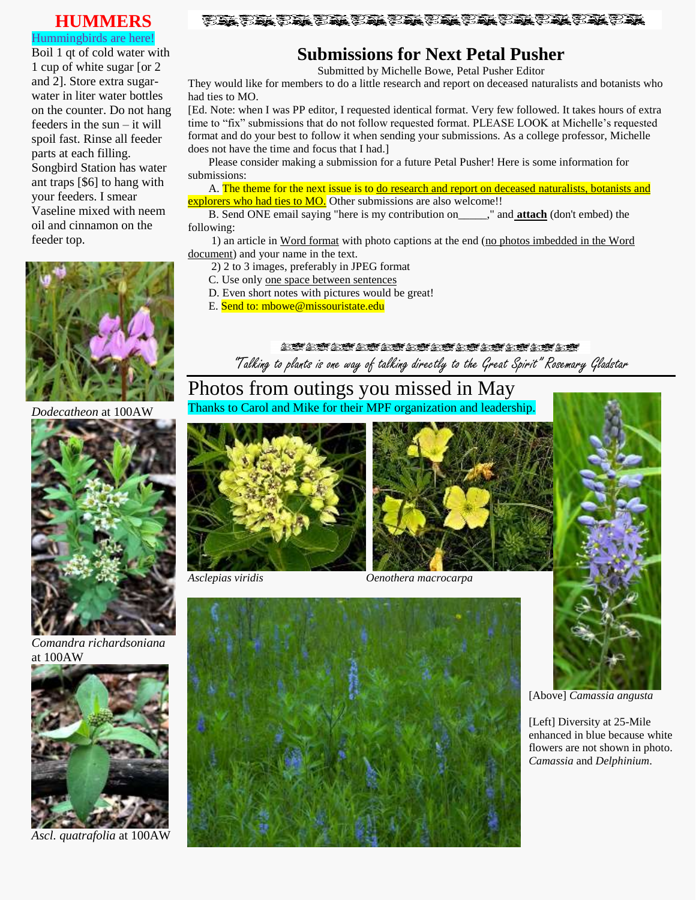#### **HUMMERS**

#### Hummingbirds are here!

Boil 1 qt of cold water with 1 cup of white sugar [or 2 and 2]. Store extra sugarwater in liter water bottles on the counter. Do not hang feeders in the sun – it will spoil fast. Rinse all feeder parts at each filling. Songbird Station has water ant traps [\$6] to hang with your feeders. I smear Vaseline mixed with neem oil and cinnamon on the feeder top.



*Dodecatheon* at 100AW



*Comandra richardsoniana* at 100AW



*Ascl. quatrafolia* at 100AW

#### 

# **Submissions for Next Petal Pusher**

Submitted by Michelle Bowe, Petal Pusher Editor

They would like for members to do a little research and report on deceased naturalists and botanists who had ties to MO.

[Ed. Note: when I was PP editor, I requested identical format. Very few followed. It takes hours of extra time to "fix" submissions that do not follow requested format. PLEASE LOOK at Michelle's requested format and do your best to follow it when sending your submissions. As a college professor, Michelle does not have the time and focus that I had.]

Please consider making a submission for a future Petal Pusher! Here is some information for submissions:

A. The theme for the next issue is to do research and report on deceased naturalists, botanists and explorers who had ties to MO. Other submissions are also welcome!!

B. Send ONE email saying "here is my contribution on\_\_\_\_\_," and **attach** (don't embed) the following:

1) an article in Word format with photo captions at the end (no photos imbedded in the Word document) and your name in the text.

2) 2 to 3 images, preferably in JPEG format

- C. Use only one space between sentences
- D. Even short notes with pictures would be great!
- E. Send to: mbowe@missouristate.edu

お蜂の蜂の蜂の蜂の蜂の蜂の蜂の蜂の蜂の蜂の蜂の蜂の蜂 "Talking to plants is one way of talking directly to the Great Spirit" Rosemary Gladstar

## Photos from outings you missed in May Thanks to Carol and Mike for their MPF organization and leadership.





*Asclepias viridis Oenothera macrocarpa*



[Above] *Camassia angusta*

[Left] Diversity at 25-Mile enhanced in blue because white flowers are not shown in photo. *Camassia* and *Delphinium*.